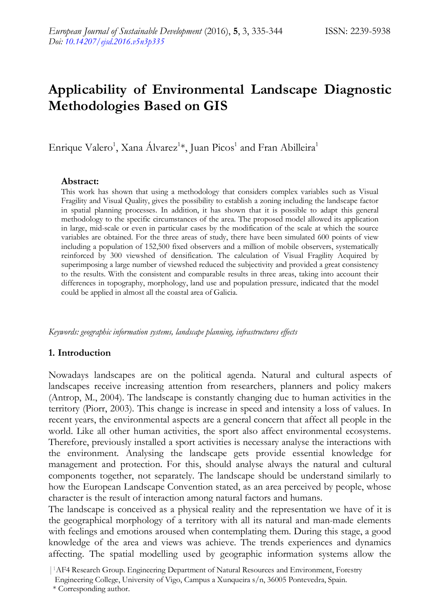# **Applicability of Environmental Landscape Diagnostic Methodologies Based on GIS**

Enrique Valero<sup>1</sup>, Xana Álvarez<sup>1</sup>\*, Juan Picos<sup>1</sup> and Fran Abilleira<sup>1</sup>

#### **Abstract:**

This work has shown that using a methodology that considers complex variables such as Visual Fragility and Visual Quality, gives the possibility to establish a zoning including the landscape factor in spatial planning processes. In addition, it has shown that it is possible to adapt this general methodology to the specific circumstances of the area. The proposed model allowed its application in large, mid-scale or even in particular cases by the modification of the scale at which the source variables are obtained. For the three areas of study, there have been simulated 600 points of view including a population of 152,500 fixed observers and a million of mobile observers, systematically reinforced by 300 viewshed of densification. The calculation of Visual Fragility Acquired by superimposing a large number of viewshed reduced the subjectivity and provided a great consistency to the results. With the consistent and comparable results in three areas, taking into account their differences in topography, morphology, land use and population pressure, indicated that the model could be applied in almost all the coastal area of Galicia.

*Keywords: geographic information systems, landscape planning, infrastructures effects*

### **1. Introduction**

Nowadays landscapes are on the political agenda. Natural and cultural aspects of landscapes receive increasing attention from researchers, planners and policy makers (Antrop, M., 2004). The landscape is constantly changing due to human activities in the territory (Piorr, 2003). This change is increase in speed and intensity a loss of values. In recent years, the environmental aspects are a general concern that affect all people in the world. Like all other human activities, the sport also affect environmental ecosystems. Therefore, previously installed a sport activities is necessary analyse the interactions with the environment. Analysing the landscape gets provide essential knowledge for management and protection. For this, should analyse always the natural and cultural components together, not separately. The landscape should be understand similarly to how the European Landscape Convention stated, as an area perceived by people, whose character is the result of interaction among natural factors and humans.

The landscape is conceived as a physical reality and the representation we have of it is the geographical morphology of a territory with all its natural and man-made elements with feelings and emotions aroused when contemplating them. During this stage, a good knowledge of the area and views was achieve. The trends experiences and dynamics affecting. The spatial modelling used by geographic information systems allow the

|1AF4 Research Group. Engineering Department of Natural Resources and Environment, Forestry

Engineering College, University of Vigo, Campus a Xunqueira s/n, 36005 Pontevedra, Spain.

 <sup>\*</sup> Corresponding author.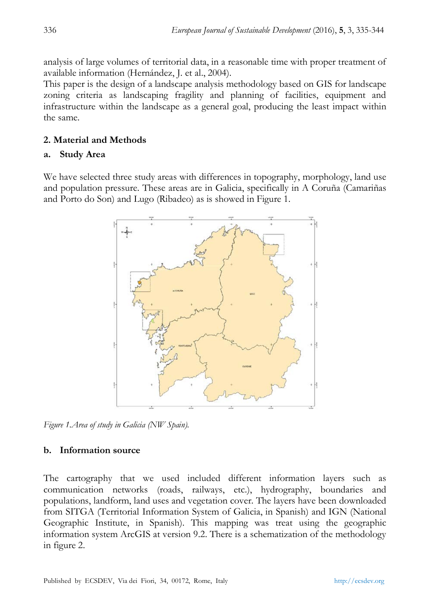analysis of large volumes of territorial data, in a reasonable time with proper treatment of available information (Hernández, J. et al., 2004).

This paper is the design of a landscape analysis methodology based on GIS for landscape zoning criteria as landscaping fragility and planning of facilities, equipment and infrastructure within the landscape as a general goal, producing the least impact within the same.

# **2. Material and Methods**

## **a. Study Area**

We have selected three study areas with differences in topography, morphology, land use and population pressure. These areas are in Galicia, specifically in A Coruña (Camariñas and Porto do Son) and Lugo (Ribadeo) as is showed in Figure 1.



*Figure 1.Area of study in Galicia (NW Spain).*

## **b. Information source**

The cartography that we used included different information layers such as communication networks (roads, railways, etc.), hydrography, boundaries and populations, landform, land uses and vegetation cover. The layers have been downloaded from SITGA (Territorial Information System of Galicia, in Spanish) and IGN (National Geographic Institute, in Spanish). This mapping was treat using the geographic information system ArcGIS at version 9.2. There is a schematization of the methodology in figure 2.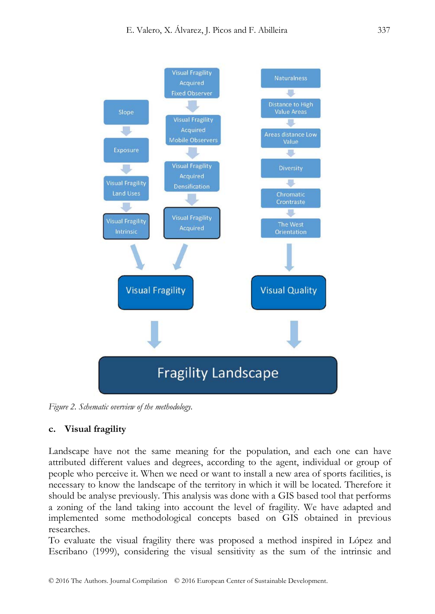

*Figure 2. Schematic overview of the methodology.*

## **c. Visual fragility**

Landscape have not the same meaning for the population, and each one can have attributed different values and degrees, according to the agent, individual or group of people who perceive it. When we need or want to install a new area of sports facilities, is necessary to know the landscape of the territory in which it will be located. Therefore it should be analyse previously. This analysis was done with a GIS based tool that performs a zoning of the land taking into account the level of fragility. We have adapted and implemented some methodological concepts based on GIS obtained in previous researches.

To evaluate the visual fragility there was proposed a method inspired in López and Escribano (1999), considering the visual sensitivity as the sum of the intrinsic and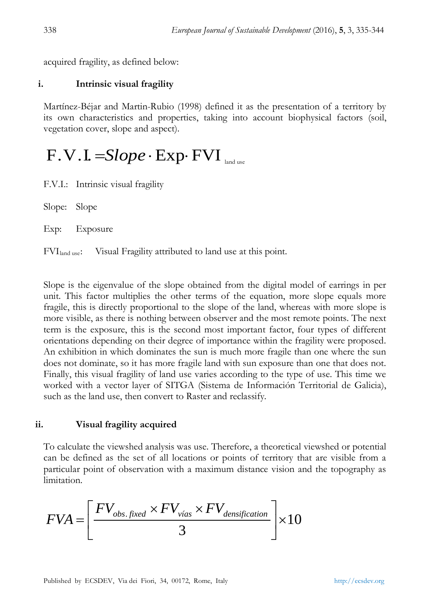acquired fragility, as defined below:

### **i. Intrinsic visual fragility**

Martínez-Béjar and Martin-Rubio (1998) defined it as the presentation of a territory by its own characteristics and properties, taking into account biophysical factors (soil, vegetation cover, slope and aspect).

# F.V.I. =*Slope* ⋅ Exp⋅ FVI land use

F.V.I.: Intrinsic visual fragility

Slope: Slope

Exp: Exposure

FVIland use: Visual Fragility attributed to land use at this point.

Slope is the eigenvalue of the slope obtained from the digital model of earrings in per unit. This factor multiplies the other terms of the equation, more slope equals more fragile, this is directly proportional to the slope of the land, whereas with more slope is more visible, as there is nothing between observer and the most remote points. The next term is the exposure, this is the second most important factor, four types of different orientations depending on their degree of importance within the fragility were proposed. An exhibition in which dominates the sun is much more fragile than one where the sun does not dominate, so it has more fragile land with sun exposure than one that does not. Finally, this visual fragility of land use varies according to the type of use. This time we worked with a vector layer of SITGA (Sistema de Información Territorial de Galicia), such as the land use, then convert to Raster and reclassify.

### **ii. Visual fragility acquired**

To calculate the viewshed analysis was use. Therefore, a theoretical viewshed or potential can be defined as the set of all locations or points of territory that are visible from a particular point of observation with a maximum distance vision and the topography as limitation.

$$
FVA = \left[\frac{FV_{obs.fixed} \times FV_{\text{vías}} \times FV_{\text{densification}}}{3}\right] \times 10
$$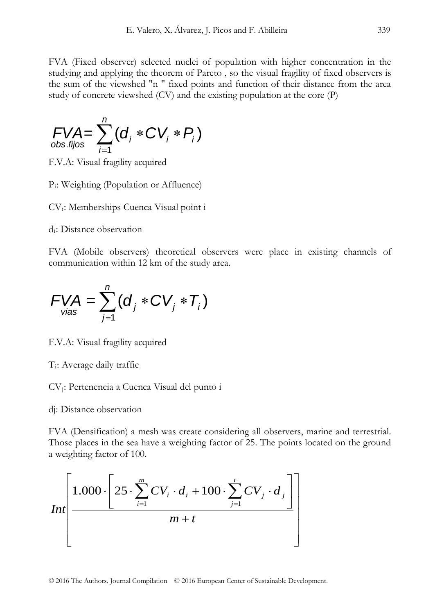FVA (Fixed observer) selected nuclei of population with higher concentration in the studying and applying the theorem of Pareto , so the visual fragility of fixed observers is the sum of the viewshed "n " fixed points and function of their distance from the area study of concrete viewshed (CV) and the existing population at the core (P)

$$
\text{FVA} = \sum_{i=1}^n (d_i \cdot CV_i \cdot P_i)
$$

F.V.A: Visual fragility acquired

Pi: Weighting (Population or Affluence)

CVi: Memberships Cuenca Visual point i

di: Distance observation

FVA (Mobile observers) theoretical observers were place in existing channels of communication within 12 km of the study area.

$$
FVA = \sum_{\text{via } s}^{n} (d_j \cdot CV_j \cdot T_i)
$$

F.V.A: Visual fragility acquired

Ti: Average daily traffic

CVj: Pertenencia a Cuenca Visual del punto i

dj: Distance observation

FVA (Densification) a mesh was create considering all observers, marine and terrestrial. Those places in the sea have a weighting factor of 25. The points located on the ground a weighting factor of 100.

$$
Int\left[\frac{1.000 \cdot \left[25 \cdot \sum_{i=1}^{m} CV_i \cdot d_i + 100 \cdot \sum_{j=1}^{t} CV_j \cdot d_j\right]}{m+t}\right]
$$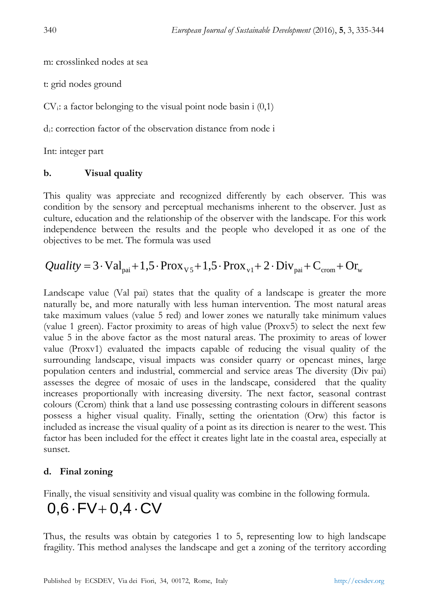m: crosslinked nodes at sea

t: grid nodes ground

 $CV_i$ : a factor belonging to the visual point node basin i  $(0,1)$ 

di: correction factor of the observation distance from node i

Int: integer part

# **b. Visual quality**

This quality was appreciate and recognized differently by each observer. This was condition by the sensory and perceptual mechanisms inherent to the observer. Just as culture, education and the relationship of the observer with the landscape. For this work independence between the results and the people who developed it as one of the objectives to be met. The formula was used

$$
Quality = 3 \cdot Val_{\text{pai}} + 1,5 \cdot Prox_{v5} + 1,5 \cdot Prox_{v1} + 2 \cdot Div_{\text{pai}} + C_{\text{crom}} + Or_{w}
$$

Landscape value (Val pai) states that the quality of a landscape is greater the more naturally be, and more naturally with less human intervention. The most natural areas take maximum values (value 5 red) and lower zones we naturally take minimum values (value 1 green). Factor proximity to areas of high value (Proxv5) to select the next few value 5 in the above factor as the most natural areas. The proximity to areas of lower value (Proxv1) evaluated the impacts capable of reducing the visual quality of the surrounding landscape, visual impacts was consider quarry or opencast mines, large population centers and industrial, commercial and service areas The diversity (Div pai) assesses the degree of mosaic of uses in the landscape, considered that the quality increases proportionally with increasing diversity. The next factor, seasonal contrast colours (Ccrom) think that a land use possessing contrasting colours in different seasons possess a higher visual quality. Finally, setting the orientation (Orw) this factor is included as increase the visual quality of a point as its direction is nearer to the west. This factor has been included for the effect it creates light late in the coastal area, especially at sunset.

# **d. Final zoning**

Finally, the visual sensitivity and visual quality was combine in the following formula.

# $0,6 \cdot FV + 0,4 \cdot CV$

Thus, the results was obtain by categories 1 to 5, representing low to high landscape fragility. This method analyses the landscape and get a zoning of the territory according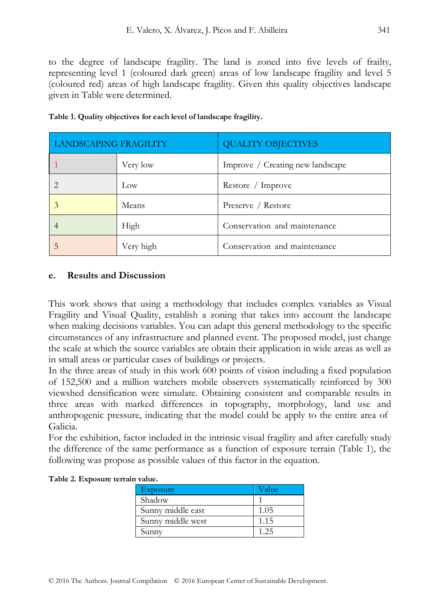to the degree of landscape fragility. The land is zoned into five levels of frailty, representing level 1 (coloured dark green) areas of low landscape fragility and level 5 (coloured red) areas of high landscape fragility. Given this quality objectives landscape given in Table were determined.

| <b>LANDSCAPING FRAGILITY</b> |           | <b>QUALITY OBJECTIVES</b>        |  |  |
|------------------------------|-----------|----------------------------------|--|--|
|                              | Very low  | Improve / Creating new landscape |  |  |
|                              | Low       | Restore / Improve                |  |  |
|                              | Means     | Preserve / Restore               |  |  |
|                              | High      | Conservation and maintenance     |  |  |
|                              | Very high | Conservation and maintenance     |  |  |

| Table 1. Quality objectives for each level of landscape fragility. |  |  |  |
|--------------------------------------------------------------------|--|--|--|
|--------------------------------------------------------------------|--|--|--|

### **e. Results and Discussion**

This work shows that using a methodology that includes complex variables as Visual Fragility and Visual Quality, establish a zoning that takes into account the landscape when making decisions variables. You can adapt this general methodology to the specific circumstances of any infrastructure and planned event. The proposed model, just change the scale at which the source variables are obtain their application in wide areas as well as in small areas or particular cases of buildings or projects.

In the three areas of study in this work 600 points of vision including a fixed population of 152,500 and a million watchers mobile observers systematically reinforced by 300 viewshed densification were simulate. Obtaining consistent and comparable results in three areas with marked differences in topography, morphology, land use and anthropogenic pressure, indicating that the model could be apply to the entire area of Galicia.

For the exhibition, factor included in the intrinsic visual fragility and after carefully study the difference of the same performance as a function of exposure terrain (Table 1), the following was propose as possible values of this factor in the equation.

| Exposure          | Value |
|-------------------|-------|
| Shadow            |       |
| Sunny middle east | 1.05  |
| Sunny middle west | 1.15  |
| Sunny             | 125   |

|  | Table 2. Exposure terrain value. |  |  |
|--|----------------------------------|--|--|
|--|----------------------------------|--|--|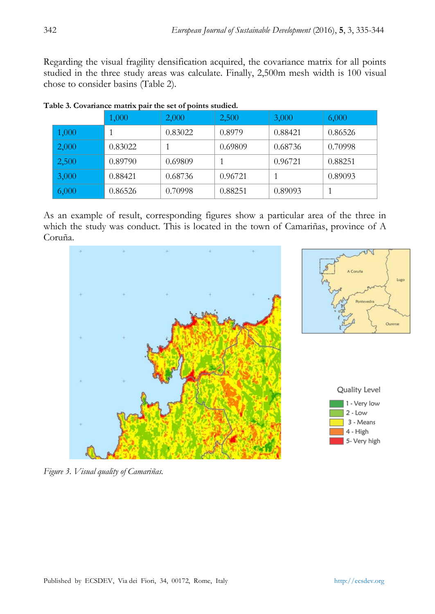Regarding the visual fragility densification acquired, the covariance matrix for all points studied in the three study areas was calculate. Finally, 2,500m mesh width is 100 visual chose to consider basins (Table 2).

|       | 1,000   | 2,000   | 2,500   | 3,000   | 6,000   |
|-------|---------|---------|---------|---------|---------|
| 1,000 |         | 0.83022 | 0.8979  | 0.88421 | 0.86526 |
| 2,000 | 0.83022 |         | 0.69809 | 0.68736 | 0.70998 |
| 2,500 | 0.89790 | 0.69809 |         | 0.96721 | 0.88251 |
| 3,000 | 0.88421 | 0.68736 | 0.96721 |         | 0.89093 |
| 6,000 | 0.86526 | 0.70998 | 0.88251 | 0.89093 |         |

| Table 3. Covariance matrix pair the set of points studied. |  |  |
|------------------------------------------------------------|--|--|
|                                                            |  |  |

As an example of result, corresponding figures show a particular area of the three in which the study was conduct. This is located in the town of Camariñas, province of A Coruña.



*Figure 3. Visual quality of Camariñas.*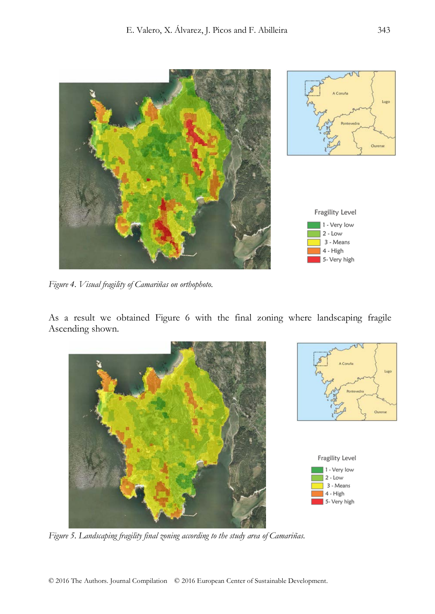

*Figure 4. Visual fragility of Camariñas on orthophoto.*

As a result we obtained Figure 6 with the final zoning where landscaping fragile Ascending shown.







*Figure 5. Landscaping fragility final zoning according to the study area of Camariñas.*